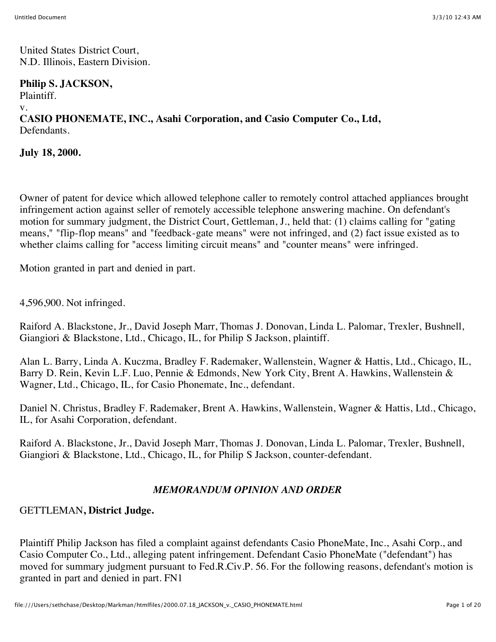United States District Court, N.D. Illinois, Eastern Division.

### **Philip S. JACKSON,**

Plaintiff.

v.

# **CASIO PHONEMATE, INC., Asahi Corporation, and Casio Computer Co., Ltd,** Defendants.

**July 18, 2000.**

Owner of patent for device which allowed telephone caller to remotely control attached appliances brought infringement action against seller of remotely accessible telephone answering machine. On defendant's motion for summary judgment, the District Court, Gettleman, J., held that: (1) claims calling for "gating means," "flip-flop means" and "feedback-gate means" were not infringed, and (2) fact issue existed as to whether claims calling for "access limiting circuit means" and "counter means" were infringed.

Motion granted in part and denied in part.

4,596,900. Not infringed.

Raiford A. Blackstone, Jr., David Joseph Marr, Thomas J. Donovan, Linda L. Palomar, Trexler, Bushnell, Giangiori & Blackstone, Ltd., Chicago, IL, for Philip S Jackson, plaintiff.

Alan L. Barry, Linda A. Kuczma, Bradley F. Rademaker, Wallenstein, Wagner & Hattis, Ltd., Chicago, IL, Barry D. Rein, Kevin L.F. Luo, Pennie & Edmonds, New York City, Brent A. Hawkins, Wallenstein & Wagner, Ltd., Chicago, IL, for Casio Phonemate, Inc., defendant.

Daniel N. Christus, Bradley F. Rademaker, Brent A. Hawkins, Wallenstein, Wagner & Hattis, Ltd., Chicago, IL, for Asahi Corporation, defendant.

Raiford A. Blackstone, Jr., David Joseph Marr, Thomas J. Donovan, Linda L. Palomar, Trexler, Bushnell, Giangiori & Blackstone, Ltd., Chicago, IL, for Philip S Jackson, counter-defendant.

### *MEMORANDUM OPINION AND ORDER*

## GETTLEMAN**, District Judge.**

Plaintiff Philip Jackson has filed a complaint against defendants Casio PhoneMate, Inc., Asahi Corp., and Casio Computer Co., Ltd., alleging patent infringement. Defendant Casio PhoneMate ("defendant") has moved for summary judgment pursuant to Fed.R.Civ.P. 56. For the following reasons, defendant's motion is granted in part and denied in part. FN1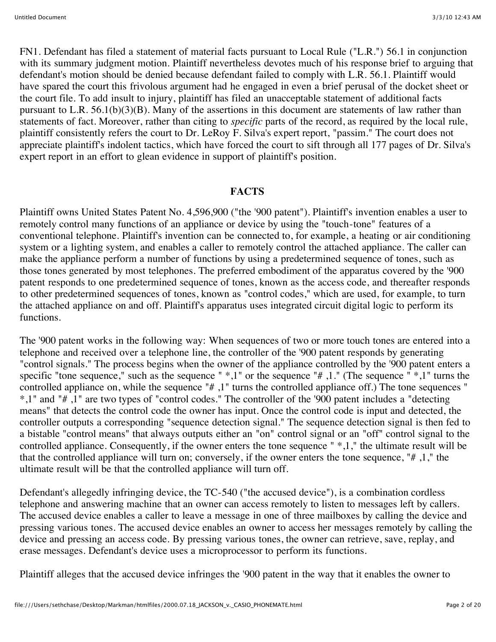FN1. Defendant has filed a statement of material facts pursuant to Local Rule ("L.R.") 56.1 in conjunction with its summary judgment motion. Plaintiff nevertheless devotes much of his response brief to arguing that defendant's motion should be denied because defendant failed to comply with L.R. 56.1. Plaintiff would have spared the court this frivolous argument had he engaged in even a brief perusal of the docket sheet or the court file. To add insult to injury, plaintiff has filed an unacceptable statement of additional facts pursuant to L.R. 56.1(b)(3)(B). Many of the assertions in this document are statements of law rather than statements of fact. Moreover, rather than citing to *specific* parts of the record, as required by the local rule, plaintiff consistently refers the court to Dr. LeRoy F. Silva's expert report, "passim." The court does not appreciate plaintiff's indolent tactics, which have forced the court to sift through all 177 pages of Dr. Silva's expert report in an effort to glean evidence in support of plaintiff's position.

#### **FACTS**

Plaintiff owns United States Patent No. 4,596,900 ("the '900 patent"). Plaintiff's invention enables a user to remotely control many functions of an appliance or device by using the "touch-tone" features of a conventional telephone. Plaintiff's invention can be connected to, for example, a heating or air conditioning system or a lighting system, and enables a caller to remotely control the attached appliance. The caller can make the appliance perform a number of functions by using a predetermined sequence of tones, such as those tones generated by most telephones. The preferred embodiment of the apparatus covered by the '900 patent responds to one predetermined sequence of tones, known as the access code, and thereafter responds to other predetermined sequences of tones, known as "control codes," which are used, for example, to turn the attached appliance on and off. Plaintiff's apparatus uses integrated circuit digital logic to perform its functions.

The '900 patent works in the following way: When sequences of two or more touch tones are entered into a telephone and received over a telephone line, the controller of the '900 patent responds by generating "control signals." The process begins when the owner of the appliance controlled by the '900 patent enters a specific "tone sequence," such as the sequence " \*,1" or the sequence "# ,1." (The sequence " \*,1" turns the controlled appliance on, while the sequence "# ,1" turns the controlled appliance off.) The tone sequences " \*,1" and "# ,1" are two types of "control codes." The controller of the '900 patent includes a "detecting means" that detects the control code the owner has input. Once the control code is input and detected, the controller outputs a corresponding "sequence detection signal." The sequence detection signal is then fed to a bistable "control means" that always outputs either an "on" control signal or an "off" control signal to the controlled appliance. Consequently, if the owner enters the tone sequence " \*,1," the ultimate result will be that the controlled appliance will turn on; conversely, if the owner enters the tone sequence, "# ,1," the ultimate result will be that the controlled appliance will turn off.

Defendant's allegedly infringing device, the TC-540 ("the accused device"), is a combination cordless telephone and answering machine that an owner can access remotely to listen to messages left by callers. The accused device enables a caller to leave a message in one of three mailboxes by calling the device and pressing various tones. The accused device enables an owner to access her messages remotely by calling the device and pressing an access code. By pressing various tones, the owner can retrieve, save, replay, and erase messages. Defendant's device uses a microprocessor to perform its functions.

Plaintiff alleges that the accused device infringes the '900 patent in the way that it enables the owner to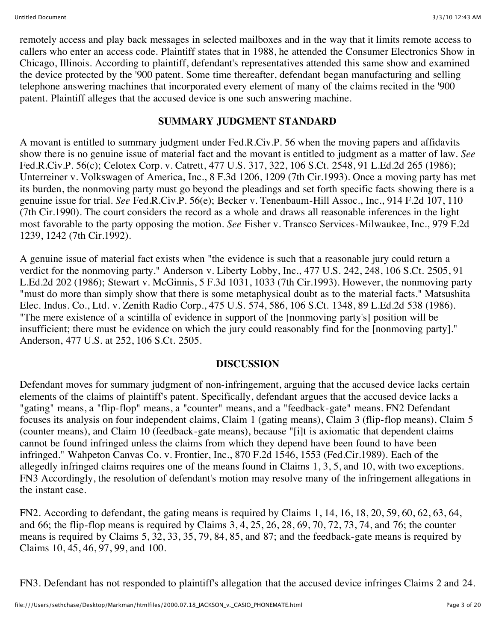remotely access and play back messages in selected mailboxes and in the way that it limits remote access to callers who enter an access code. Plaintiff states that in 1988, he attended the Consumer Electronics Show in Chicago, Illinois. According to plaintiff, defendant's representatives attended this same show and examined the device protected by the '900 patent. Some time thereafter, defendant began manufacturing and selling telephone answering machines that incorporated every element of many of the claims recited in the '900 patent. Plaintiff alleges that the accused device is one such answering machine.

### **SUMMARY JUDGMENT STANDARD**

A movant is entitled to summary judgment under Fed.R.Civ.P. 56 when the moving papers and affidavits show there is no genuine issue of material fact and the movant is entitled to judgment as a matter of law. *See* Fed.R.Civ.P. 56(c); Celotex Corp. v. Catrett, 477 U.S. 317, 322, 106 S.Ct. 2548, 91 L.Ed.2d 265 (1986); Unterreiner v. Volkswagen of America, Inc., 8 F.3d 1206, 1209 (7th Cir.1993). Once a moving party has met its burden, the nonmoving party must go beyond the pleadings and set forth specific facts showing there is a genuine issue for trial. *See* Fed.R.Civ.P. 56(e); Becker v. Tenenbaum-Hill Assoc., Inc., 914 F.2d 107, 110 (7th Cir.1990). The court considers the record as a whole and draws all reasonable inferences in the light most favorable to the party opposing the motion. *See* Fisher v. Transco Services-Milwaukee, Inc., 979 F.2d 1239, 1242 (7th Cir.1992).

A genuine issue of material fact exists when "the evidence is such that a reasonable jury could return a verdict for the nonmoving party." Anderson v. Liberty Lobby, Inc., 477 U.S. 242, 248, 106 S.Ct. 2505, 91 L.Ed.2d 202 (1986); Stewart v. McGinnis, 5 F.3d 1031, 1033 (7th Cir.1993). However, the nonmoving party "must do more than simply show that there is some metaphysical doubt as to the material facts." Matsushita Elec. Indus. Co., Ltd. v. Zenith Radio Corp., 475 U.S. 574, 586, 106 S.Ct. 1348, 89 L.Ed.2d 538 (1986). "The mere existence of a scintilla of evidence in support of the [nonmoving party's] position will be insufficient; there must be evidence on which the jury could reasonably find for the [nonmoving party]." Anderson, 477 U.S. at 252, 106 S.Ct. 2505.

### **DISCUSSION**

Defendant moves for summary judgment of non-infringement, arguing that the accused device lacks certain elements of the claims of plaintiff's patent. Specifically, defendant argues that the accused device lacks a "gating" means, a "flip-flop" means, a "counter" means, and a "feedback-gate" means. FN2 Defendant focuses its analysis on four independent claims, Claim 1 (gating means), Claim 3 (flip-flop means), Claim 5 (counter means), and Claim 10 (feedback-gate means), because "[i]t is axiomatic that dependent claims cannot be found infringed unless the claims from which they depend have been found to have been infringed." Wahpeton Canvas Co. v. Frontier, Inc., 870 F.2d 1546, 1553 (Fed.Cir.1989). Each of the allegedly infringed claims requires one of the means found in Claims 1, 3, 5, and 10, with two exceptions. FN3 Accordingly, the resolution of defendant's motion may resolve many of the infringement allegations in the instant case.

FN2. According to defendant, the gating means is required by Claims 1, 14, 16, 18, 20, 59, 60, 62, 63, 64, and 66; the flip-flop means is required by Claims 3, 4, 25, 26, 28, 69, 70, 72, 73, 74, and 76; the counter means is required by Claims 5, 32, 33, 35, 79, 84, 85, and 87; and the feedback-gate means is required by Claims 10, 45, 46, 97, 99, and 100.

FN3. Defendant has not responded to plaintiff's allegation that the accused device infringes Claims 2 and 24.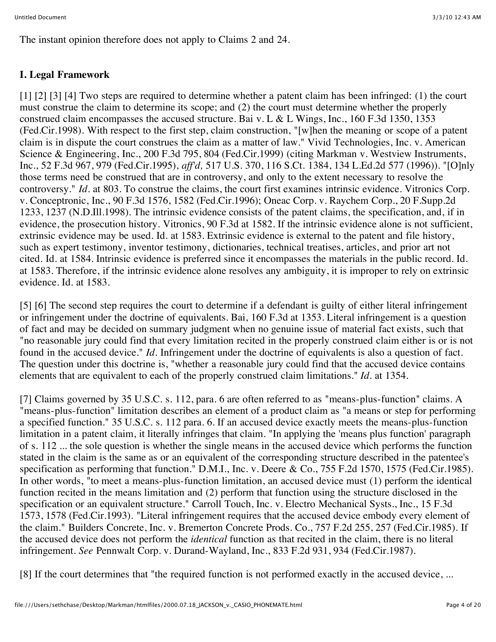The instant opinion therefore does not apply to Claims 2 and 24.

## **I. Legal Framework**

[1] [2] [3] [4] Two steps are required to determine whether a patent claim has been infringed: (1) the court must construe the claim to determine its scope; and (2) the court must determine whether the properly construed claim encompasses the accused structure. Bai v. L & L Wings, Inc., 160 F.3d 1350, 1353 (Fed.Cir.1998). With respect to the first step, claim construction, "[w]hen the meaning or scope of a patent claim is in dispute the court construes the claim as a matter of law." Vivid Technologies, Inc. v. American Science & Engineering, Inc., 200 F.3d 795, 804 (Fed.Cir.1999) (citing Markman v. Westview Instruments, Inc., 52 F.3d 967, 979 (Fed.Cir.1995), *aff'd,* 517 U.S. 370, 116 S.Ct. 1384, 134 L.Ed.2d 577 (1996)). "[O]nly those terms need be construed that are in controversy, and only to the extent necessary to resolve the controversy." *Id.* at 803. To construe the claims, the court first examines intrinsic evidence. Vitronics Corp. v. Conceptronic, Inc., 90 F.3d 1576, 1582 (Fed.Cir.1996); Oneac Corp. v. Raychem Corp., 20 F.Supp.2d 1233, 1237 (N.D.Ill.1998). The intrinsic evidence consists of the patent claims, the specification, and, if in evidence, the prosecution history. Vitronics, 90 F.3d at 1582. If the intrinsic evidence alone is not sufficient, extrinsic evidence may be used. Id. at 1583. Extrinsic evidence is external to the patent and file history, such as expert testimony, inventor testimony, dictionaries, technical treatises, articles, and prior art not cited. Id. at 1584. Intrinsic evidence is preferred since it encompasses the materials in the public record. Id. at 1583. Therefore, if the intrinsic evidence alone resolves any ambiguity, it is improper to rely on extrinsic evidence. Id. at 1583.

[5] [6] The second step requires the court to determine if a defendant is guilty of either literal infringement or infringement under the doctrine of equivalents. Bai, 160 F.3d at 1353. Literal infringement is a question of fact and may be decided on summary judgment when no genuine issue of material fact exists, such that "no reasonable jury could find that every limitation recited in the properly construed claim either is or is not found in the accused device." *Id.* Infringement under the doctrine of equivalents is also a question of fact. The question under this doctrine is, "whether a reasonable jury could find that the accused device contains elements that are equivalent to each of the properly construed claim limitations." *Id.* at 1354.

[7] Claims governed by 35 U.S.C. s. 112, para. 6 are often referred to as "means-plus-function" claims. A "means-plus-function" limitation describes an element of a product claim as "a means or step for performing a specified function." 35 U.S.C. s. 112 para. 6. If an accused device exactly meets the means-plus-function limitation in a patent claim, it literally infringes that claim. "In applying the 'means plus function' paragraph of s. 112 ... the sole question is whether the single means in the accused device which performs the function stated in the claim is the same as or an equivalent of the corresponding structure described in the patentee's specification as performing that function." D.M.I., Inc. v. Deere & Co., 755 F.2d 1570, 1575 (Fed.Cir.1985). In other words, "to meet a means-plus-function limitation, an accused device must (1) perform the identical function recited in the means limitation and (2) perform that function using the structure disclosed in the specification or an equivalent structure." Carroll Touch, Inc. v. Electro Mechanical Systs., Inc., 15 F.3d 1573, 1578 (Fed.Cir.1993). "Literal infringement requires that the accused device embody every element of the claim." Builders Concrete, Inc. v. Bremerton Concrete Prods. Co., 757 F.2d 255, 257 (Fed.Cir.1985). If the accused device does not perform the *identical* function as that recited in the claim, there is no literal infringement. *See* Pennwalt Corp. v. Durand-Wayland, Inc., 833 F.2d 931, 934 (Fed.Cir.1987).

[8] If the court determines that "the required function is not performed exactly in the accused device, ...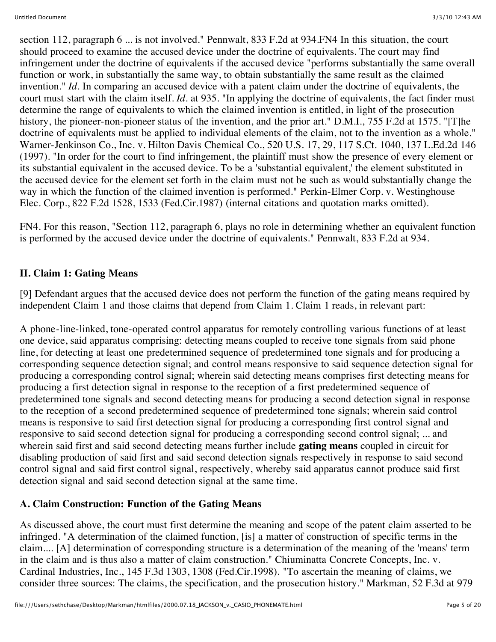section 112, paragraph 6 ... is not involved." Pennwalt, 833 F.2d at 934.FN4 In this situation, the court should proceed to examine the accused device under the doctrine of equivalents. The court may find infringement under the doctrine of equivalents if the accused device "performs substantially the same overall function or work, in substantially the same way, to obtain substantially the same result as the claimed invention." *Id.* In comparing an accused device with a patent claim under the doctrine of equivalents, the court must start with the claim itself. *Id.* at 935. "In applying the doctrine of equivalents, the fact finder must determine the range of equivalents to which the claimed invention is entitled, in light of the prosecution history, the pioneer-non-pioneer status of the invention, and the prior art." D.M.I., 755 F.2d at 1575. "[T]he doctrine of equivalents must be applied to individual elements of the claim, not to the invention as a whole." Warner-Jenkinson Co., Inc. v. Hilton Davis Chemical Co., 520 U.S. 17, 29, 117 S.Ct. 1040, 137 L.Ed.2d 146 (1997). "In order for the court to find infringement, the plaintiff must show the presence of every element or its substantial equivalent in the accused device. To be a 'substantial equivalent,' the element substituted in the accused device for the element set forth in the claim must not be such as would substantially change the way in which the function of the claimed invention is performed." Perkin-Elmer Corp. v. Westinghouse Elec. Corp., 822 F.2d 1528, 1533 (Fed.Cir.1987) (internal citations and quotation marks omitted).

FN4. For this reason, "Section 112, paragraph 6, plays no role in determining whether an equivalent function is performed by the accused device under the doctrine of equivalents." Pennwalt, 833 F.2d at 934.

### **II. Claim 1: Gating Means**

[9] Defendant argues that the accused device does not perform the function of the gating means required by independent Claim 1 and those claims that depend from Claim 1. Claim 1 reads, in relevant part:

A phone-line-linked, tone-operated control apparatus for remotely controlling various functions of at least one device, said apparatus comprising: detecting means coupled to receive tone signals from said phone line, for detecting at least one predetermined sequence of predetermined tone signals and for producing a corresponding sequence detection signal; and control means responsive to said sequence detection signal for producing a corresponding control signal; wherein said detecting means comprises first detecting means for producing a first detection signal in response to the reception of a first predetermined sequence of predetermined tone signals and second detecting means for producing a second detection signal in response to the reception of a second predetermined sequence of predetermined tone signals; wherein said control means is responsive to said first detection signal for producing a corresponding first control signal and responsive to said second detection signal for producing a corresponding second control signal; ... and wherein said first and said second detecting means further include **gating means** coupled in circuit for disabling production of said first and said second detection signals respectively in response to said second control signal and said first control signal, respectively, whereby said apparatus cannot produce said first detection signal and said second detection signal at the same time.

### **A. Claim Construction: Function of the Gating Means**

As discussed above, the court must first determine the meaning and scope of the patent claim asserted to be infringed. "A determination of the claimed function, [is] a matter of construction of specific terms in the claim.... [A] determination of corresponding structure is a determination of the meaning of the 'means' term in the claim and is thus also a matter of claim construction." Chiuminatta Concrete Concepts, Inc. v. Cardinal Industries, Inc., 145 F.3d 1303, 1308 (Fed.Cir.1998). "To ascertain the meaning of claims, we consider three sources: The claims, the specification, and the prosecution history." Markman, 52 F.3d at 979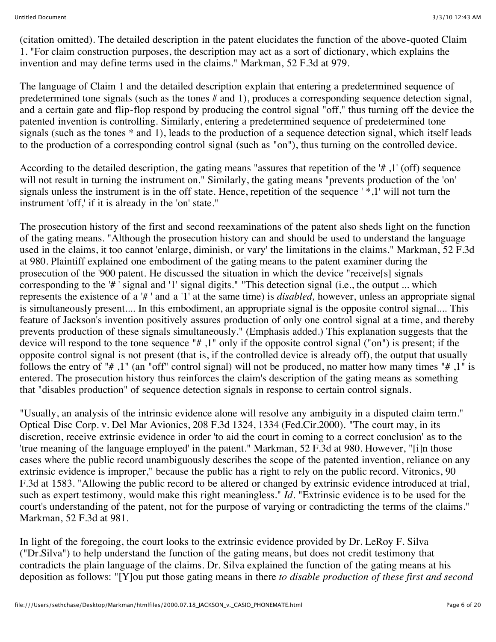(citation omitted). The detailed description in the patent elucidates the function of the above-quoted Claim 1. "For claim construction purposes, the description may act as a sort of dictionary, which explains the invention and may define terms used in the claims." Markman, 52 F.3d at 979.

The language of Claim 1 and the detailed description explain that entering a predetermined sequence of predetermined tone signals (such as the tones # and 1), produces a corresponding sequence detection signal, and a certain gate and flip-flop respond by producing the control signal "off," thus turning off the device the patented invention is controlling. Similarly, entering a predetermined sequence of predetermined tone signals (such as the tones \* and 1), leads to the production of a sequence detection signal, which itself leads to the production of a corresponding control signal (such as "on"), thus turning on the controlled device.

According to the detailed description, the gating means "assures that repetition of the '# ,1' (off) sequence will not result in turning the instrument on." Similarly, the gating means "prevents production of the 'on' signals unless the instrument is in the off state. Hence, repetition of the sequence ' \*,1' will not turn the instrument 'off,' if it is already in the 'on' state."

The prosecution history of the first and second reexaminations of the patent also sheds light on the function of the gating means. "Although the prosecution history can and should be used to understand the language used in the claims, it too cannot 'enlarge, diminish, or vary' the limitations in the claims." Markman, 52 F.3d at 980. Plaintiff explained one embodiment of the gating means to the patent examiner during the prosecution of the '900 patent. He discussed the situation in which the device "receive[s] signals corresponding to the '# ' signal and '1' signal digits." "This detection signal (i.e., the output ... which represents the existence of a '# ' and a '1' at the same time) is *disabled,* however, unless an appropriate signal is simultaneously present.... In this embodiment, an appropriate signal is the opposite control signal.... This feature of Jackson's invention positively assures production of only one control signal at a time, and thereby prevents production of these signals simultaneously." (Emphasis added.) This explanation suggests that the device will respond to the tone sequence "# ,1" only if the opposite control signal ("on") is present; if the opposite control signal is not present (that is, if the controlled device is already off), the output that usually follows the entry of "# ,1" (an "off" control signal) will not be produced, no matter how many times "# ,1" is entered. The prosecution history thus reinforces the claim's description of the gating means as something that "disables production" of sequence detection signals in response to certain control signals.

"Usually, an analysis of the intrinsic evidence alone will resolve any ambiguity in a disputed claim term." Optical Disc Corp. v. Del Mar Avionics, 208 F.3d 1324, 1334 (Fed.Cir.2000). "The court may, in its discretion, receive extrinsic evidence in order 'to aid the court in coming to a correct conclusion' as to the 'true meaning of the language employed' in the patent." Markman, 52 F.3d at 980. However, "[i]n those cases where the public record unambiguously describes the scope of the patented invention, reliance on any extrinsic evidence is improper," because the public has a right to rely on the public record. Vitronics, 90 F.3d at 1583. "Allowing the public record to be altered or changed by extrinsic evidence introduced at trial, such as expert testimony, would make this right meaningless." *Id.* "Extrinsic evidence is to be used for the court's understanding of the patent, not for the purpose of varying or contradicting the terms of the claims." Markman, 52 F.3d at 981.

In light of the foregoing, the court looks to the extrinsic evidence provided by Dr. LeRoy F. Silva ("Dr.Silva") to help understand the function of the gating means, but does not credit testimony that contradicts the plain language of the claims. Dr. Silva explained the function of the gating means at his deposition as follows: "[Y]ou put those gating means in there *to disable production of these first and second*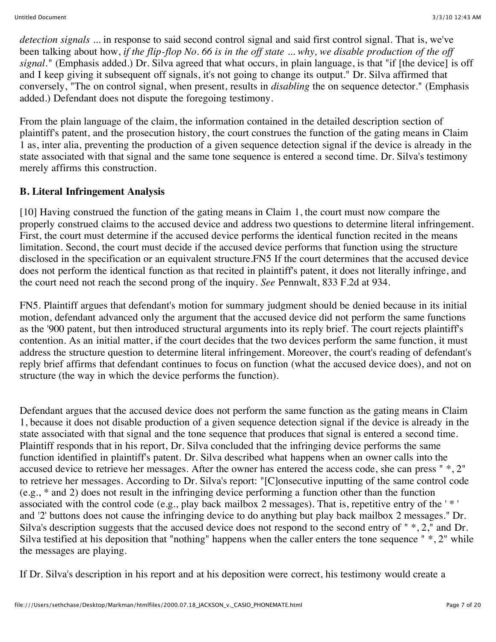*detection signals* ... in response to said second control signal and said first control signal. That is, we've been talking about how, *if the flip-flop No. 66 is in the off state ... why, we disable production of the off signal.*" (Emphasis added.) Dr. Silva agreed that what occurs, in plain language, is that "if [the device] is off and I keep giving it subsequent off signals, it's not going to change its output." Dr. Silva affirmed that conversely, "The on control signal, when present, results in *disabling* the on sequence detector." (Emphasis added.) Defendant does not dispute the foregoing testimony.

From the plain language of the claim, the information contained in the detailed description section of plaintiff's patent, and the prosecution history, the court construes the function of the gating means in Claim 1 as, inter alia, preventing the production of a given sequence detection signal if the device is already in the state associated with that signal and the same tone sequence is entered a second time. Dr. Silva's testimony merely affirms this construction.

## **B. Literal Infringement Analysis**

[10] Having construed the function of the gating means in Claim 1, the court must now compare the properly construed claims to the accused device and address two questions to determine literal infringement. First, the court must determine if the accused device performs the identical function recited in the means limitation. Second, the court must decide if the accused device performs that function using the structure disclosed in the specification or an equivalent structure.FN5 If the court determines that the accused device does not perform the identical function as that recited in plaintiff's patent, it does not literally infringe, and the court need not reach the second prong of the inquiry. *See* Pennwalt, 833 F.2d at 934.

FN5. Plaintiff argues that defendant's motion for summary judgment should be denied because in its initial motion, defendant advanced only the argument that the accused device did not perform the same functions as the '900 patent, but then introduced structural arguments into its reply brief. The court rejects plaintiff's contention. As an initial matter, if the court decides that the two devices perform the same function, it must address the structure question to determine literal infringement. Moreover, the court's reading of defendant's reply brief affirms that defendant continues to focus on function (what the accused device does), and not on structure (the way in which the device performs the function).

Defendant argues that the accused device does not perform the same function as the gating means in Claim 1, because it does not disable production of a given sequence detection signal if the device is already in the state associated with that signal and the tone sequence that produces that signal is entered a second time. Plaintiff responds that in his report, Dr. Silva concluded that the infringing device performs the same function identified in plaintiff's patent. Dr. Silva described what happens when an owner calls into the accused device to retrieve her messages. After the owner has entered the access code, she can press " \*, 2" to retrieve her messages. According to Dr. Silva's report: "[C]onsecutive inputting of the same control code (e.g., \* and 2) does not result in the infringing device performing a function other than the function associated with the control code (e.g., play back mailbox 2 messages). That is, repetitive entry of the ' \* ' and '2' buttons does not cause the infringing device to do anything but play back mailbox 2 messages." Dr. Silva's description suggests that the accused device does not respond to the second entry of " \*, 2," and Dr. Silva testified at his deposition that "nothing" happens when the caller enters the tone sequence " \*, 2" while the messages are playing.

If Dr. Silva's description in his report and at his deposition were correct, his testimony would create a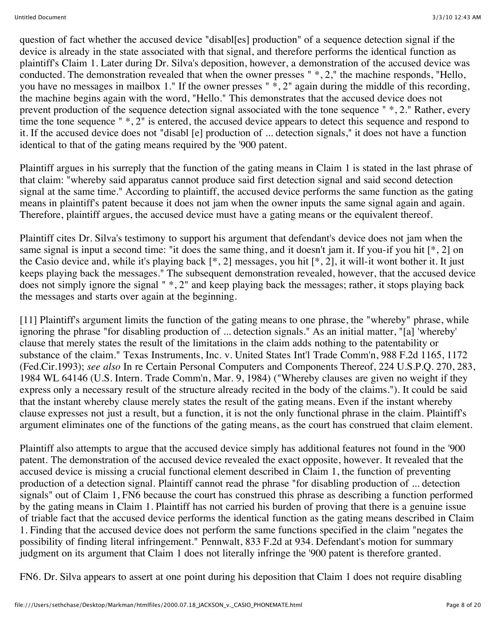question of fact whether the accused device "disabl[es] production" of a sequence detection signal if the device is already in the state associated with that signal, and therefore performs the identical function as plaintiff's Claim 1. Later during Dr. Silva's deposition, however, a demonstration of the accused device was conducted. The demonstration revealed that when the owner presses " \*, 2," the machine responds, "Hello, you have no messages in mailbox 1." If the owner presses " $\hat{*}$ , 2" again during the middle of this recording, the machine begins again with the word, "Hello." This demonstrates that the accused device does not prevent production of the sequence detection signal associated with the tone sequence " \*, 2." Rather, every time the tone sequence "  $^*$ , 2" is entered, the accused device appears to detect this sequence and respond to it. If the accused device does not "disabl [e] production of ... detection signals," it does not have a function identical to that of the gating means required by the '900 patent.

Plaintiff argues in his surreply that the function of the gating means in Claim 1 is stated in the last phrase of that claim: "whereby said apparatus cannot produce said first detection signal and said second detection signal at the same time." According to plaintiff, the accused device performs the same function as the gating means in plaintiff's patent because it does not jam when the owner inputs the same signal again and again. Therefore, plaintiff argues, the accused device must have a gating means or the equivalent thereof.

Plaintiff cites Dr. Silva's testimony to support his argument that defendant's device does not jam when the same signal is input a second time: "it does the same thing, and it doesn't jam it. If you-if you hit [\*, 2] on the Casio device and, while it's playing back  $[*, 2]$  messages, you hit  $[*, 2]$ , it will-it wont bother it. It just keeps playing back the messages." The subsequent demonstration revealed, however, that the accused device does not simply ignore the signal " \*, 2" and keep playing back the messages; rather, it stops playing back the messages and starts over again at the beginning.

[11] Plaintiff's argument limits the function of the gating means to one phrase, the "whereby" phrase, while ignoring the phrase "for disabling production of ... detection signals." As an initial matter, "[a] 'whereby' clause that merely states the result of the limitations in the claim adds nothing to the patentability or substance of the claim." Texas Instruments, Inc. v. United States Int'l Trade Comm'n, 988 F.2d 1165, 1172 (Fed.Cir.1993); *see also* In re Certain Personal Computers and Components Thereof, 224 U.S.P.Q. 270, 283, 1984 WL 64146 (U.S. Intern. Trade Comm'n, Mar. 9, 1984) ("Whereby clauses are given no weight if they express only a necessary result of the structure already recited in the body of the claims."). It could be said that the instant whereby clause merely states the result of the gating means. Even if the instant whereby clause expresses not just a result, but a function, it is not the only functional phrase in the claim. Plaintiff's argument eliminates one of the functions of the gating means, as the court has construed that claim element.

Plaintiff also attempts to argue that the accused device simply has additional features not found in the '900 patent. The demonstration of the accused device revealed the exact opposite, however. It revealed that the accused device is missing a crucial functional element described in Claim 1, the function of preventing production of a detection signal. Plaintiff cannot read the phrase "for disabling production of ... detection signals" out of Claim 1, FN6 because the court has construed this phrase as describing a function performed by the gating means in Claim 1. Plaintiff has not carried his burden of proving that there is a genuine issue of triable fact that the accused device performs the identical function as the gating means described in Claim 1. Finding that the accused device does not perform the same functions specified in the claim "negates the possibility of finding literal infringement." Pennwalt, 833 F.2d at 934. Defendant's motion for summary judgment on its argument that Claim 1 does not literally infringe the '900 patent is therefore granted.

FN6. Dr. Silva appears to assert at one point during his deposition that Claim 1 does not require disabling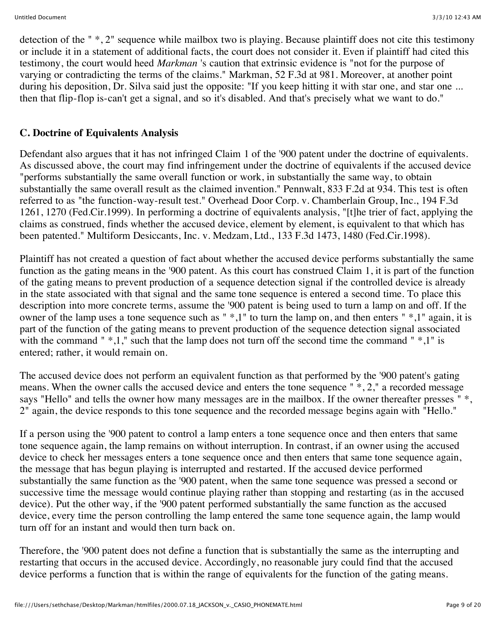detection of the " \*, 2" sequence while mailbox two is playing. Because plaintiff does not cite this testimony or include it in a statement of additional facts, the court does not consider it. Even if plaintiff had cited this testimony, the court would heed *Markman* 's caution that extrinsic evidence is "not for the purpose of varying or contradicting the terms of the claims." Markman, 52 F.3d at 981. Moreover, at another point during his deposition, Dr. Silva said just the opposite: "If you keep hitting it with star one, and star one ... then that flip-flop is-can't get a signal, and so it's disabled. And that's precisely what we want to do."

### **C. Doctrine of Equivalents Analysis**

Defendant also argues that it has not infringed Claim 1 of the '900 patent under the doctrine of equivalents. As discussed above, the court may find infringement under the doctrine of equivalents if the accused device "performs substantially the same overall function or work, in substantially the same way, to obtain substantially the same overall result as the claimed invention." Pennwalt, 833 F.2d at 934. This test is often referred to as "the function-way-result test." Overhead Door Corp. v. Chamberlain Group, Inc., 194 F.3d 1261, 1270 (Fed.Cir.1999). In performing a doctrine of equivalents analysis, "[t]he trier of fact, applying the claims as construed, finds whether the accused device, element by element, is equivalent to that which has been patented." Multiform Desiccants, Inc. v. Medzam, Ltd., 133 F.3d 1473, 1480 (Fed.Cir.1998).

Plaintiff has not created a question of fact about whether the accused device performs substantially the same function as the gating means in the '900 patent. As this court has construed Claim 1, it is part of the function of the gating means to prevent production of a sequence detection signal if the controlled device is already in the state associated with that signal and the same tone sequence is entered a second time. To place this description into more concrete terms, assume the '900 patent is being used to turn a lamp on and off. If the owner of the lamp uses a tone sequence such as " \*,1" to turn the lamp on, and then enters " \*,1" again, it is part of the function of the gating means to prevent production of the sequence detection signal associated with the command "  $*$ ,1," such that the lamp does not turn off the second time the command "  $*$ ,1" is entered; rather, it would remain on.

The accused device does not perform an equivalent function as that performed by the '900 patent's gating means. When the owner calls the accused device and enters the tone sequence " \*, 2," a recorded message says "Hello" and tells the owner how many messages are in the mailbox. If the owner thereafter presses " \*, 2" again, the device responds to this tone sequence and the recorded message begins again with "Hello."

If a person using the '900 patent to control a lamp enters a tone sequence once and then enters that same tone sequence again, the lamp remains on without interruption. In contrast, if an owner using the accused device to check her messages enters a tone sequence once and then enters that same tone sequence again, the message that has begun playing is interrupted and restarted. If the accused device performed substantially the same function as the '900 patent, when the same tone sequence was pressed a second or successive time the message would continue playing rather than stopping and restarting (as in the accused device). Put the other way, if the '900 patent performed substantially the same function as the accused device, every time the person controlling the lamp entered the same tone sequence again, the lamp would turn off for an instant and would then turn back on.

Therefore, the '900 patent does not define a function that is substantially the same as the interrupting and restarting that occurs in the accused device. Accordingly, no reasonable jury could find that the accused device performs a function that is within the range of equivalents for the function of the gating means.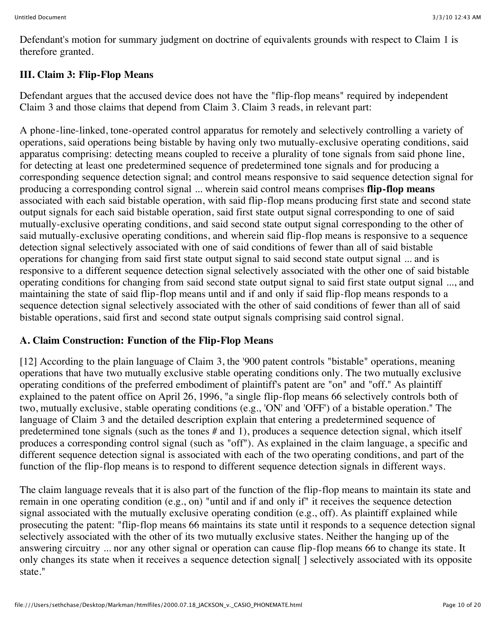Defendant's motion for summary judgment on doctrine of equivalents grounds with respect to Claim 1 is therefore granted.

# **III. Claim 3: Flip-Flop Means**

Defendant argues that the accused device does not have the "flip-flop means" required by independent Claim 3 and those claims that depend from Claim 3. Claim 3 reads, in relevant part:

A phone-line-linked, tone-operated control apparatus for remotely and selectively controlling a variety of operations, said operations being bistable by having only two mutually-exclusive operating conditions, said apparatus comprising: detecting means coupled to receive a plurality of tone signals from said phone line, for detecting at least one predetermined sequence of predetermined tone signals and for producing a corresponding sequence detection signal; and control means responsive to said sequence detection signal for producing a corresponding control signal ... wherein said control means comprises **flip-flop means** associated with each said bistable operation, with said flip-flop means producing first state and second state output signals for each said bistable operation, said first state output signal corresponding to one of said mutually-exclusive operating conditions, and said second state output signal corresponding to the other of said mutually-exclusive operating conditions, and wherein said flip-flop means is responsive to a sequence detection signal selectively associated with one of said conditions of fewer than all of said bistable operations for changing from said first state output signal to said second state output signal ... and is responsive to a different sequence detection signal selectively associated with the other one of said bistable operating conditions for changing from said second state output signal to said first state output signal ..., and maintaining the state of said flip-flop means until and if and only if said flip-flop means responds to a sequence detection signal selectively associated with the other of said conditions of fewer than all of said bistable operations, said first and second state output signals comprising said control signal.

# **A. Claim Construction: Function of the Flip-Flop Means**

[12] According to the plain language of Claim 3, the '900 patent controls "bistable" operations, meaning operations that have two mutually exclusive stable operating conditions only. The two mutually exclusive operating conditions of the preferred embodiment of plaintiff's patent are "on" and "off." As plaintiff explained to the patent office on April 26, 1996, "a single flip-flop means 66 selectively controls both of two, mutually exclusive, stable operating conditions (e.g., 'ON' and 'OFF') of a bistable operation." The language of Claim 3 and the detailed description explain that entering a predetermined sequence of predetermined tone signals (such as the tones # and 1), produces a sequence detection signal, which itself produces a corresponding control signal (such as "off"). As explained in the claim language, a specific and different sequence detection signal is associated with each of the two operating conditions, and part of the function of the flip-flop means is to respond to different sequence detection signals in different ways.

The claim language reveals that it is also part of the function of the flip-flop means to maintain its state and remain in one operating condition (e.g., on) "until and if and only if" it receives the sequence detection signal associated with the mutually exclusive operating condition (e.g., off). As plaintiff explained while prosecuting the patent: "flip-flop means 66 maintains its state until it responds to a sequence detection signal selectively associated with the other of its two mutually exclusive states. Neither the hanging up of the answering circuitry ... nor any other signal or operation can cause flip-flop means 66 to change its state. It only changes its state when it receives a sequence detection signal | selectively associated with its opposite state."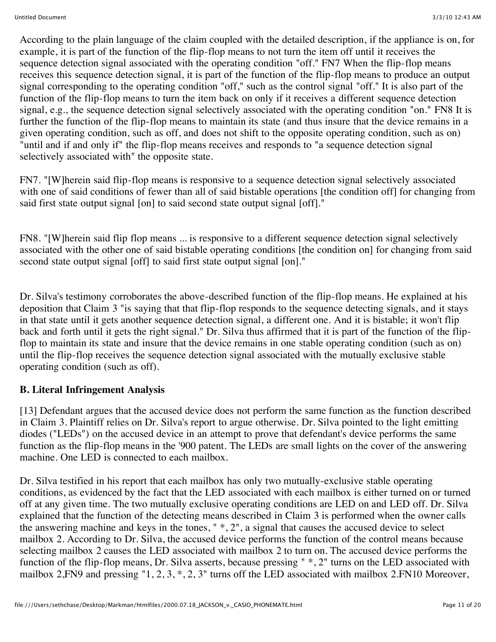According to the plain language of the claim coupled with the detailed description, if the appliance is on, for example, it is part of the function of the flip-flop means to not turn the item off until it receives the sequence detection signal associated with the operating condition "off." FN7 When the flip-flop means receives this sequence detection signal, it is part of the function of the flip-flop means to produce an output signal corresponding to the operating condition "off," such as the control signal "off." It is also part of the function of the flip-flop means to turn the item back on only if it receives a different sequence detection signal, e.g., the sequence detection signal selectively associated with the operating condition "on." FN8 It is further the function of the flip-flop means to maintain its state (and thus insure that the device remains in a given operating condition, such as off, and does not shift to the opposite operating condition, such as on) "until and if and only if" the flip-flop means receives and responds to "a sequence detection signal selectively associated with" the opposite state.

FN7. "[W]herein said flip-flop means is responsive to a sequence detection signal selectively associated with one of said conditions of fewer than all of said bistable operations [the condition off] for changing from said first state output signal [on] to said second state output signal [off]."

FN8. "[W]herein said flip flop means ... is responsive to a different sequence detection signal selectively associated with the other one of said bistable operating conditions [the condition on] for changing from said second state output signal [off] to said first state output signal [on]."

Dr. Silva's testimony corroborates the above-described function of the flip-flop means. He explained at his deposition that Claim 3 "is saying that that flip-flop responds to the sequence detecting signals, and it stays in that state until it gets another sequence detection signal, a different one. And it is bistable; it won't flip back and forth until it gets the right signal." Dr. Silva thus affirmed that it is part of the function of the flipflop to maintain its state and insure that the device remains in one stable operating condition (such as on) until the flip-flop receives the sequence detection signal associated with the mutually exclusive stable operating condition (such as off).

## **B. Literal Infringement Analysis**

[13] Defendant argues that the accused device does not perform the same function as the function described in Claim 3. Plaintiff relies on Dr. Silva's report to argue otherwise. Dr. Silva pointed to the light emitting diodes ("LEDs") on the accused device in an attempt to prove that defendant's device performs the same function as the flip-flop means in the '900 patent. The LEDs are small lights on the cover of the answering machine. One LED is connected to each mailbox.

Dr. Silva testified in his report that each mailbox has only two mutually-exclusive stable operating conditions, as evidenced by the fact that the LED associated with each mailbox is either turned on or turned off at any given time. The two mutually exclusive operating conditions are LED on and LED off. Dr. Silva explained that the function of the detecting means described in Claim 3 is performed when the owner calls the answering machine and keys in the tones, " \*, 2", a signal that causes the accused device to select mailbox 2. According to Dr. Silva, the accused device performs the function of the control means because selecting mailbox 2 causes the LED associated with mailbox 2 to turn on. The accused device performs the function of the flip-flop means, Dr. Silva asserts, because pressing " \*, 2" turns on the LED associated with mailbox 2,FN9 and pressing "1, 2, 3, \*, 2, 3" turns off the LED associated with mailbox 2.FN10 Moreover,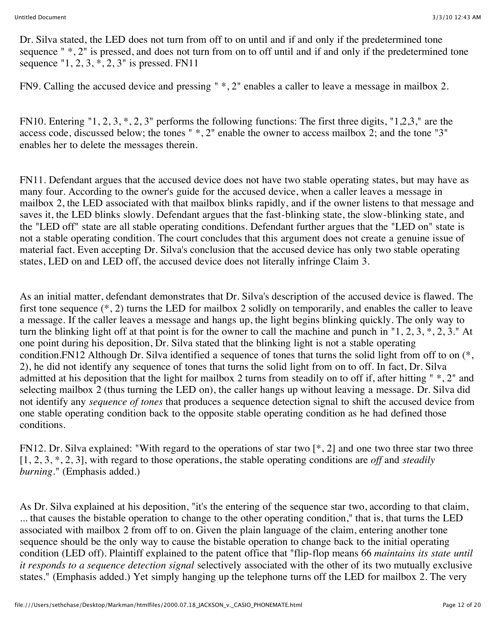Dr. Silva stated, the LED does not turn from off to on until and if and only if the predetermined tone sequence "  $\ast$ , 2" is pressed, and does not turn from on to off until and if and only if the predetermined tone sequence "1, 2, 3,  $\overline{*}$ , 2, 3" is pressed. FN11

FN9. Calling the accused device and pressing " \*, 2" enables a caller to leave a message in mailbox 2.

FN10. Entering "1, 2, 3, \*, 2, 3" performs the following functions: The first three digits, "1,2,3," are the access code, discussed below; the tones " \*, 2" enable the owner to access mailbox 2; and the tone "3" enables her to delete the messages therein.

FN11. Defendant argues that the accused device does not have two stable operating states, but may have as many four. According to the owner's guide for the accused device, when a caller leaves a message in mailbox 2, the LED associated with that mailbox blinks rapidly, and if the owner listens to that message and saves it, the LED blinks slowly. Defendant argues that the fast-blinking state, the slow-blinking state, and the "LED off" state are all stable operating conditions. Defendant further argues that the "LED on" state is not a stable operating condition. The court concludes that this argument does not create a genuine issue of material fact. Even accepting Dr. Silva's conclusion that the accused device has only two stable operating states, LED on and LED off, the accused device does not literally infringe Claim 3.

As an initial matter, defendant demonstrates that Dr. Silva's description of the accused device is flawed. The first tone sequence (\*, 2) turns the LED for mailbox 2 solidly on temporarily, and enables the caller to leave a message. If the caller leaves a message and hangs up, the light begins blinking quickly. The only way to turn the blinking light off at that point is for the owner to call the machine and punch in "1, 2, 3, \*, 2, 3." At one point during his deposition, Dr. Silva stated that the blinking light is not a stable operating condition.FN12 Although Dr. Silva identified a sequence of tones that turns the solid light from off to on (\*, 2), he did not identify any sequence of tones that turns the solid light from on to off. In fact, Dr. Silva admitted at his deposition that the light for mailbox 2 turns from steadily on to off if, after hitting " \*, 2" and selecting mailbox 2 (thus turning the LED on), the caller hangs up without leaving a message. Dr. Silva did not identify any *sequence of tones* that produces a sequence detection signal to shift the accused device from one stable operating condition back to the opposite stable operating condition as he had defined those conditions.

FN12. Dr. Silva explained: "With regard to the operations of star two [\*, 2] and one two three star two three [1, 2, 3, \*, 2, 3], with regard to those operations, the stable operating conditions are *off* and *steadily burning.*" (Emphasis added.)

As Dr. Silva explained at his deposition, "it's the entering of the sequence star two, according to that claim, ... that causes the bistable operation to change to the other operating condition," that is, that turns the LED associated with mailbox 2 from off to on. Given the plain language of the claim, entering another tone sequence should be the only way to cause the bistable operation to change back to the initial operating condition (LED off). Plaintiff explained to the patent office that "flip-flop means 66 *maintains its state until it responds to a sequence detection signal* selectively associated with the other of its two mutually exclusive states." (Emphasis added.) Yet simply hanging up the telephone turns off the LED for mailbox 2. The very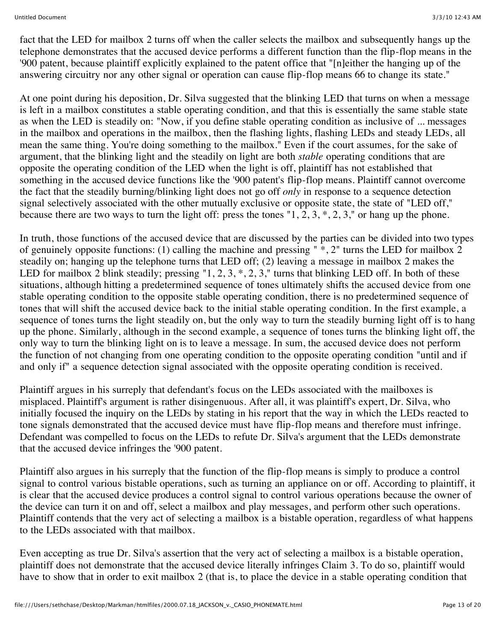fact that the LED for mailbox 2 turns off when the caller selects the mailbox and subsequently hangs up the telephone demonstrates that the accused device performs a different function than the flip-flop means in the '900 patent, because plaintiff explicitly explained to the patent office that "[n]either the hanging up of the answering circuitry nor any other signal or operation can cause flip-flop means 66 to change its state."

At one point during his deposition, Dr. Silva suggested that the blinking LED that turns on when a message is left in a mailbox constitutes a stable operating condition, and that this is essentially the same stable state as when the LED is steadily on: "Now, if you define stable operating condition as inclusive of ... messages in the mailbox and operations in the mailbox, then the flashing lights, flashing LEDs and steady LEDs, all mean the same thing. You're doing something to the mailbox." Even if the court assumes, for the sake of argument, that the blinking light and the steadily on light are both *stable* operating conditions that are opposite the operating condition of the LED when the light is off, plaintiff has not established that something in the accused device functions like the '900 patent's flip-flop means. Plaintiff cannot overcome the fact that the steadily burning/blinking light does not go off *only* in response to a sequence detection signal selectively associated with the other mutually exclusive or opposite state, the state of "LED off," because there are two ways to turn the light off: press the tones " $1, 2, 3, *, 2, 3,$ " or hang up the phone.

In truth, those functions of the accused device that are discussed by the parties can be divided into two types of genuinely opposite functions: (1) calling the machine and pressing  $"*, 2"$  turns the LED for mailbox 2 steadily on; hanging up the telephone turns that LED off; (2) leaving a message in mailbox 2 makes the LED for mailbox 2 blink steadily; pressing "1, 2, 3,  $\ast$ , 2, 3," turns that blinking LED off. In both of these situations, although hitting a predetermined sequence of tones ultimately shifts the accused device from one stable operating condition to the opposite stable operating condition, there is no predetermined sequence of tones that will shift the accused device back to the initial stable operating condition. In the first example, a sequence of tones turns the light steadily on, but the only way to turn the steadily burning light off is to hang up the phone. Similarly, although in the second example, a sequence of tones turns the blinking light off, the only way to turn the blinking light on is to leave a message. In sum, the accused device does not perform the function of not changing from one operating condition to the opposite operating condition "until and if and only if" a sequence detection signal associated with the opposite operating condition is received.

Plaintiff argues in his surreply that defendant's focus on the LEDs associated with the mailboxes is misplaced. Plaintiff's argument is rather disingenuous. After all, it was plaintiff's expert, Dr. Silva, who initially focused the inquiry on the LEDs by stating in his report that the way in which the LEDs reacted to tone signals demonstrated that the accused device must have flip-flop means and therefore must infringe. Defendant was compelled to focus on the LEDs to refute Dr. Silva's argument that the LEDs demonstrate that the accused device infringes the '900 patent.

Plaintiff also argues in his surreply that the function of the flip-flop means is simply to produce a control signal to control various bistable operations, such as turning an appliance on or off. According to plaintiff, it is clear that the accused device produces a control signal to control various operations because the owner of the device can turn it on and off, select a mailbox and play messages, and perform other such operations. Plaintiff contends that the very act of selecting a mailbox is a bistable operation, regardless of what happens to the LEDs associated with that mailbox.

Even accepting as true Dr. Silva's assertion that the very act of selecting a mailbox is a bistable operation, plaintiff does not demonstrate that the accused device literally infringes Claim 3. To do so, plaintiff would have to show that in order to exit mailbox 2 (that is, to place the device in a stable operating condition that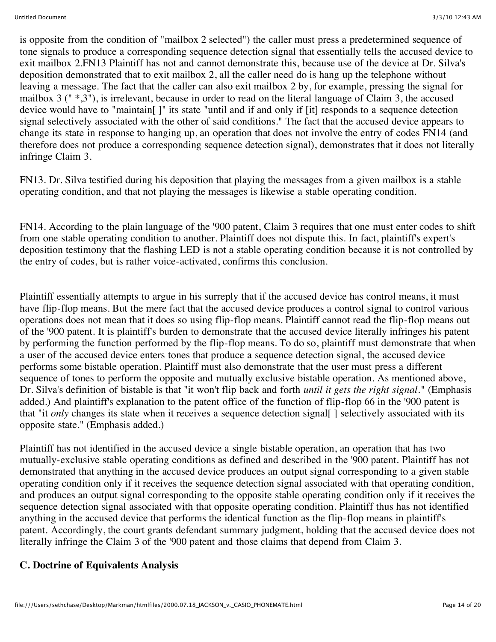is opposite from the condition of "mailbox 2 selected") the caller must press a predetermined sequence of tone signals to produce a corresponding sequence detection signal that essentially tells the accused device to exit mailbox 2.FN13 Plaintiff has not and cannot demonstrate this, because use of the device at Dr. Silva's deposition demonstrated that to exit mailbox 2, all the caller need do is hang up the telephone without leaving a message. The fact that the caller can also exit mailbox 2 by, for example, pressing the signal for mailbox 3 (" \*,3"), is irrelevant, because in order to read on the literal language of Claim 3, the accused device would have to "maintain[ ]" its state "until and if and only if [it] responds to a sequence detection signal selectively associated with the other of said conditions." The fact that the accused device appears to change its state in response to hanging up, an operation that does not involve the entry of codes FN14 (and therefore does not produce a corresponding sequence detection signal), demonstrates that it does not literally infringe Claim 3.

FN13. Dr. Silva testified during his deposition that playing the messages from a given mailbox is a stable operating condition, and that not playing the messages is likewise a stable operating condition.

FN14. According to the plain language of the '900 patent, Claim 3 requires that one must enter codes to shift from one stable operating condition to another. Plaintiff does not dispute this. In fact, plaintiff's expert's deposition testimony that the flashing LED is not a stable operating condition because it is not controlled by the entry of codes, but is rather voice-activated, confirms this conclusion.

Plaintiff essentially attempts to argue in his surreply that if the accused device has control means, it must have flip-flop means. But the mere fact that the accused device produces a control signal to control various operations does not mean that it does so using flip-flop means. Plaintiff cannot read the flip-flop means out of the '900 patent. It is plaintiff's burden to demonstrate that the accused device literally infringes his patent by performing the function performed by the flip-flop means. To do so, plaintiff must demonstrate that when a user of the accused device enters tones that produce a sequence detection signal, the accused device performs some bistable operation. Plaintiff must also demonstrate that the user must press a different sequence of tones to perform the opposite and mutually exclusive bistable operation. As mentioned above, Dr. Silva's definition of bistable is that "it won't flip back and forth *until it gets the right signal.*" (Emphasis added.) And plaintiff's explanation to the patent office of the function of flip-flop 66 in the '900 patent is that "it *only* changes its state when it receives a sequence detection signal[ ] selectively associated with its opposite state." (Emphasis added.)

Plaintiff has not identified in the accused device a single bistable operation, an operation that has two mutually-exclusive stable operating conditions as defined and described in the '900 patent. Plaintiff has not demonstrated that anything in the accused device produces an output signal corresponding to a given stable operating condition only if it receives the sequence detection signal associated with that operating condition, and produces an output signal corresponding to the opposite stable operating condition only if it receives the sequence detection signal associated with that opposite operating condition. Plaintiff thus has not identified anything in the accused device that performs the identical function as the flip-flop means in plaintiff's patent. Accordingly, the court grants defendant summary judgment, holding that the accused device does not literally infringe the Claim 3 of the '900 patent and those claims that depend from Claim 3.

### **C. Doctrine of Equivalents Analysis**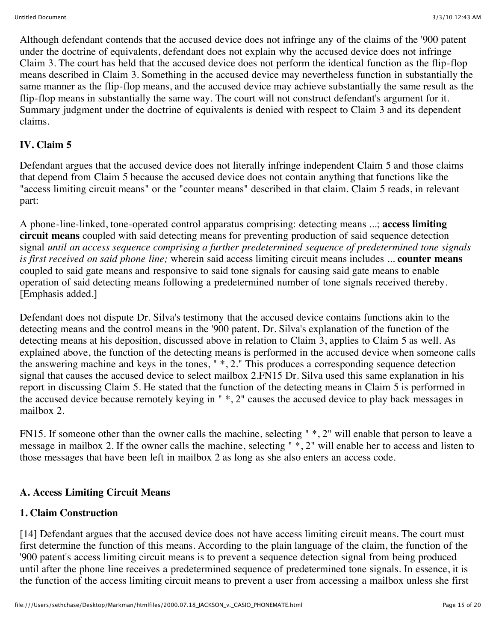Although defendant contends that the accused device does not infringe any of the claims of the '900 patent under the doctrine of equivalents, defendant does not explain why the accused device does not infringe Claim 3. The court has held that the accused device does not perform the identical function as the flip-flop means described in Claim 3. Something in the accused device may nevertheless function in substantially the same manner as the flip-flop means, and the accused device may achieve substantially the same result as the flip-flop means in substantially the same way. The court will not construct defendant's argument for it. Summary judgment under the doctrine of equivalents is denied with respect to Claim 3 and its dependent claims.

# **IV. Claim 5**

Defendant argues that the accused device does not literally infringe independent Claim 5 and those claims that depend from Claim 5 because the accused device does not contain anything that functions like the "access limiting circuit means" or the "counter means" described in that claim. Claim 5 reads, in relevant part:

A phone-line-linked, tone-operated control apparatus comprising: detecting means ...; **access limiting circuit means** coupled with said detecting means for preventing production of said sequence detection signal *until an access sequence comprising a further predetermined sequence of predetermined tone signals is first received on said phone line;* wherein said access limiting circuit means includes ... **counter means** coupled to said gate means and responsive to said tone signals for causing said gate means to enable operation of said detecting means following a predetermined number of tone signals received thereby. [Emphasis added.]

Defendant does not dispute Dr. Silva's testimony that the accused device contains functions akin to the detecting means and the control means in the '900 patent. Dr. Silva's explanation of the function of the detecting means at his deposition, discussed above in relation to Claim 3, applies to Claim 5 as well. As explained above, the function of the detecting means is performed in the accused device when someone calls the answering machine and keys in the tones, " \*, 2." This produces a corresponding sequence detection signal that causes the accused device to select mailbox 2.FN15 Dr. Silva used this same explanation in his report in discussing Claim 5. He stated that the function of the detecting means in Claim 5 is performed in the accused device because remotely keying in " \*, 2" causes the accused device to play back messages in mailbox 2.

FN15. If someone other than the owner calls the machine, selecting " \*, 2" will enable that person to leave a message in mailbox 2. If the owner calls the machine, selecting " \*, 2" will enable her to access and listen to those messages that have been left in mailbox 2 as long as she also enters an access code.

## **A. Access Limiting Circuit Means**

# **1. Claim Construction**

[14] Defendant argues that the accused device does not have access limiting circuit means. The court must first determine the function of this means. According to the plain language of the claim, the function of the '900 patent's access limiting circuit means is to prevent a sequence detection signal from being produced until after the phone line receives a predetermined sequence of predetermined tone signals. In essence, it is the function of the access limiting circuit means to prevent a user from accessing a mailbox unless she first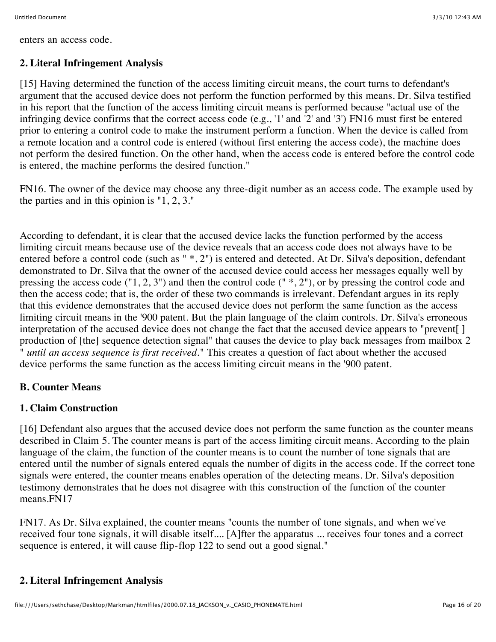enters an access code.

## **2. Literal Infringement Analysis**

[15] Having determined the function of the access limiting circuit means, the court turns to defendant's argument that the accused device does not perform the function performed by this means. Dr. Silva testified in his report that the function of the access limiting circuit means is performed because "actual use of the infringing device confirms that the correct access code (e.g., '1' and '2' and '3') FN16 must first be entered prior to entering a control code to make the instrument perform a function. When the device is called from a remote location and a control code is entered (without first entering the access code), the machine does not perform the desired function. On the other hand, when the access code is entered before the control code is entered, the machine performs the desired function."

FN16. The owner of the device may choose any three-digit number as an access code. The example used by the parties and in this opinion is "1, 2, 3."

According to defendant, it is clear that the accused device lacks the function performed by the access limiting circuit means because use of the device reveals that an access code does not always have to be entered before a control code (such as " \*, 2") is entered and detected. At Dr. Silva's deposition, defendant demonstrated to Dr. Silva that the owner of the accused device could access her messages equally well by pressing the access code ("1, 2, 3") and then the control code (" \*, 2"), or by pressing the control code and then the access code; that is, the order of these two commands is irrelevant. Defendant argues in its reply that this evidence demonstrates that the accused device does not perform the same function as the access limiting circuit means in the '900 patent. But the plain language of the claim controls. Dr. Silva's erroneous interpretation of the accused device does not change the fact that the accused device appears to "prevent[ ] production of [the] sequence detection signal" that causes the device to play back messages from mailbox 2 " *until an access sequence is first received.*" This creates a question of fact about whether the accused device performs the same function as the access limiting circuit means in the '900 patent.

## **B. Counter Means**

# **1. Claim Construction**

[16] Defendant also argues that the accused device does not perform the same function as the counter means described in Claim 5. The counter means is part of the access limiting circuit means. According to the plain language of the claim, the function of the counter means is to count the number of tone signals that are entered until the number of signals entered equals the number of digits in the access code. If the correct tone signals were entered, the counter means enables operation of the detecting means. Dr. Silva's deposition testimony demonstrates that he does not disagree with this construction of the function of the counter means.FN17

FN17. As Dr. Silva explained, the counter means "counts the number of tone signals, and when we've received four tone signals, it will disable itself.... [A]fter the apparatus ... receives four tones and a correct sequence is entered, it will cause flip-flop 122 to send out a good signal."

# **2. Literal Infringement Analysis**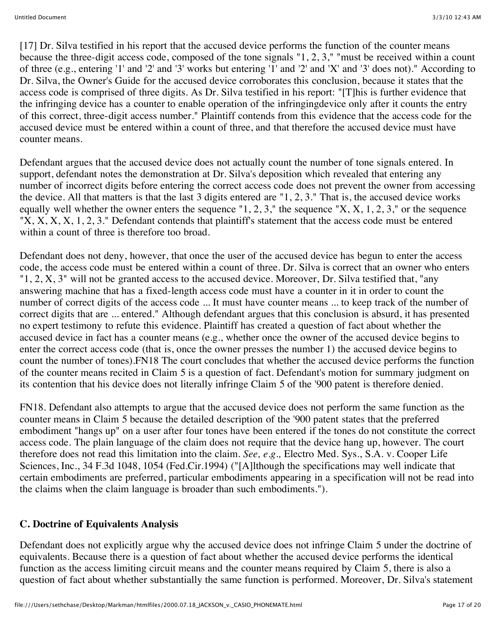[17] Dr. Silva testified in his report that the accused device performs the function of the counter means because the three-digit access code, composed of the tone signals "1, 2, 3," "must be received within a count of three (e.g., entering '1' and '2' and '3' works but entering '1' and '2' and 'X' and '3' does not)." According to Dr. Silva, the Owner's Guide for the accused device corroborates this conclusion, because it states that the access code is comprised of three digits. As Dr. Silva testified in his report: "[T]his is further evidence that the infringing device has a counter to enable operation of the infringingdevice only after it counts the entry of this correct, three-digit access number." Plaintiff contends from this evidence that the access code for the accused device must be entered within a count of three, and that therefore the accused device must have counter means.

Defendant argues that the accused device does not actually count the number of tone signals entered. In support, defendant notes the demonstration at Dr. Silva's deposition which revealed that entering any number of incorrect digits before entering the correct access code does not prevent the owner from accessing the device. All that matters is that the last 3 digits entered are "1, 2, 3." That is, the accused device works equally well whether the owner enters the sequence "1, 2, 3," the sequence "X, X, 1, 2, 3," or the sequence "X, X, X, X, 1, 2, 3." Defendant contends that plaintiff's statement that the access code must be entered within a count of three is therefore too broad.

Defendant does not deny, however, that once the user of the accused device has begun to enter the access code, the access code must be entered within a count of three. Dr. Silva is correct that an owner who enters  $"1, 2, X, 3"$  will not be granted access to the accused device. Moreover, Dr. Silva testified that, "any" answering machine that has a fixed-length access code must have a counter in it in order to count the number of correct digits of the access code ... It must have counter means ... to keep track of the number of correct digits that are ... entered." Although defendant argues that this conclusion is absurd, it has presented no expert testimony to refute this evidence. Plaintiff has created a question of fact about whether the accused device in fact has a counter means (e.g., whether once the owner of the accused device begins to enter the correct access code (that is, once the owner presses the number 1) the accused device begins to count the number of tones).FN18 The court concludes that whether the accused device performs the function of the counter means recited in Claim 5 is a question of fact. Defendant's motion for summary judgment on its contention that his device does not literally infringe Claim 5 of the '900 patent is therefore denied.

FN18. Defendant also attempts to argue that the accused device does not perform the same function as the counter means in Claim 5 because the detailed description of the '900 patent states that the preferred embodiment "hangs up" on a user after four tones have been entered if the tones do not constitute the correct access code. The plain language of the claim does not require that the device hang up, however. The court therefore does not read this limitation into the claim. *See, e.g.,* Electro Med. Sys., S.A. v. Cooper Life Sciences, Inc., 34 F.3d 1048, 1054 (Fed.Cir.1994) ("[A]lthough the specifications may well indicate that certain embodiments are preferred, particular embodiments appearing in a specification will not be read into the claims when the claim language is broader than such embodiments.").

### **C. Doctrine of Equivalents Analysis**

Defendant does not explicitly argue why the accused device does not infringe Claim 5 under the doctrine of equivalents. Because there is a question of fact about whether the accused device performs the identical function as the access limiting circuit means and the counter means required by Claim 5, there is also a question of fact about whether substantially the same function is performed. Moreover, Dr. Silva's statement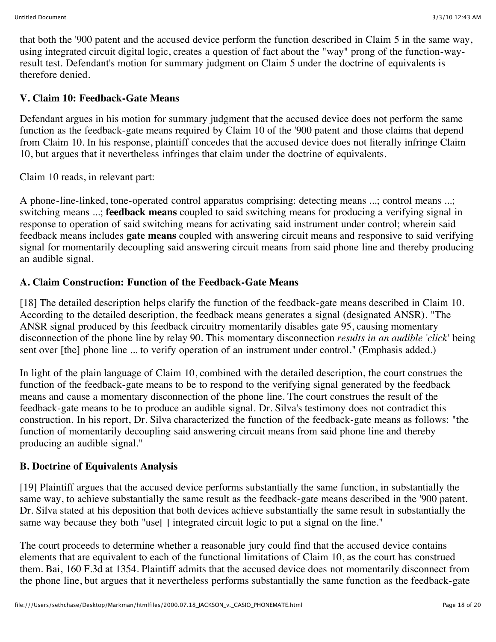that both the '900 patent and the accused device perform the function described in Claim 5 in the same way, using integrated circuit digital logic, creates a question of fact about the "way" prong of the function-wayresult test. Defendant's motion for summary judgment on Claim 5 under the doctrine of equivalents is therefore denied.

## **V. Claim 10: Feedback-Gate Means**

Defendant argues in his motion for summary judgment that the accused device does not perform the same function as the feedback-gate means required by Claim 10 of the '900 patent and those claims that depend from Claim 10. In his response, plaintiff concedes that the accused device does not literally infringe Claim 10, but argues that it nevertheless infringes that claim under the doctrine of equivalents.

Claim 10 reads, in relevant part:

A phone-line-linked, tone-operated control apparatus comprising: detecting means ...; control means ...; switching means ...; **feedback means** coupled to said switching means for producing a verifying signal in response to operation of said switching means for activating said instrument under control; wherein said feedback means includes **gate means** coupled with answering circuit means and responsive to said verifying signal for momentarily decoupling said answering circuit means from said phone line and thereby producing an audible signal.

## **A. Claim Construction: Function of the Feedback-Gate Means**

[18] The detailed description helps clarify the function of the feedback-gate means described in Claim 10. According to the detailed description, the feedback means generates a signal (designated ANSR). "The ANSR signal produced by this feedback circuitry momentarily disables gate 95, causing momentary disconnection of the phone line by relay 90. This momentary disconnection *results in an audible 'click'* being sent over [the] phone line ... to verify operation of an instrument under control." (Emphasis added.)

In light of the plain language of Claim 10, combined with the detailed description, the court construes the function of the feedback-gate means to be to respond to the verifying signal generated by the feedback means and cause a momentary disconnection of the phone line. The court construes the result of the feedback-gate means to be to produce an audible signal. Dr. Silva's testimony does not contradict this construction. In his report, Dr. Silva characterized the function of the feedback-gate means as follows: "the function of momentarily decoupling said answering circuit means from said phone line and thereby producing an audible signal."

## **B. Doctrine of Equivalents Analysis**

[19] Plaintiff argues that the accused device performs substantially the same function, in substantially the same way, to achieve substantially the same result as the feedback-gate means described in the '900 patent. Dr. Silva stated at his deposition that both devices achieve substantially the same result in substantially the same way because they both "use<sup>[]</sup> integrated circuit logic to put a signal on the line."

The court proceeds to determine whether a reasonable jury could find that the accused device contains elements that are equivalent to each of the functional limitations of Claim 10, as the court has construed them. Bai, 160 F.3d at 1354. Plaintiff admits that the accused device does not momentarily disconnect from the phone line, but argues that it nevertheless performs substantially the same function as the feedback-gate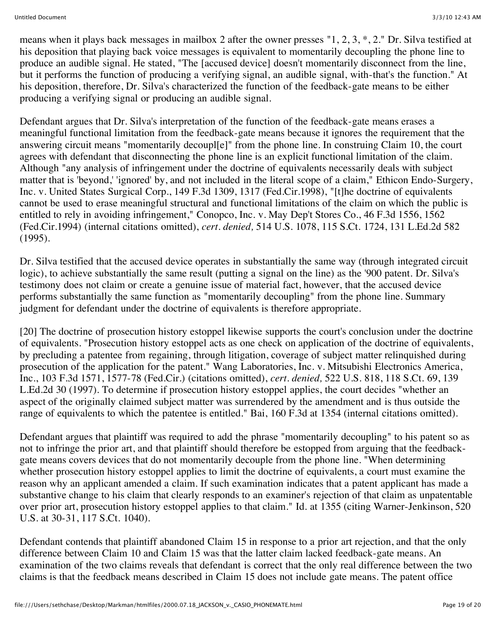means when it plays back messages in mailbox 2 after the owner presses "1, 2, 3, \*, 2." Dr. Silva testified at his deposition that playing back voice messages is equivalent to momentarily decoupling the phone line to produce an audible signal. He stated, "The [accused device] doesn't momentarily disconnect from the line, but it performs the function of producing a verifying signal, an audible signal, with-that's the function." At his deposition, therefore, Dr. Silva's characterized the function of the feedback-gate means to be either producing a verifying signal or producing an audible signal.

Defendant argues that Dr. Silva's interpretation of the function of the feedback-gate means erases a meaningful functional limitation from the feedback-gate means because it ignores the requirement that the answering circuit means "momentarily decoupl[e]" from the phone line. In construing Claim 10, the court agrees with defendant that disconnecting the phone line is an explicit functional limitation of the claim. Although "any analysis of infringement under the doctrine of equivalents necessarily deals with subject matter that is 'beyond,' 'ignored' by, and not included in the literal scope of a claim," Ethicon Endo-Surgery, Inc. v. United States Surgical Corp., 149 F.3d 1309, 1317 (Fed.Cir.1998), "[t]he doctrine of equivalents cannot be used to erase meaningful structural and functional limitations of the claim on which the public is entitled to rely in avoiding infringement," Conopco, Inc. v. May Dep't Stores Co., 46 F.3d 1556, 1562 (Fed.Cir.1994) (internal citations omitted), *cert. denied,* 514 U.S. 1078, 115 S.Ct. 1724, 131 L.Ed.2d 582 (1995).

Dr. Silva testified that the accused device operates in substantially the same way (through integrated circuit logic), to achieve substantially the same result (putting a signal on the line) as the '900 patent. Dr. Silva's testimony does not claim or create a genuine issue of material fact, however, that the accused device performs substantially the same function as "momentarily decoupling" from the phone line. Summary judgment for defendant under the doctrine of equivalents is therefore appropriate.

[20] The doctrine of prosecution history estoppel likewise supports the court's conclusion under the doctrine of equivalents. "Prosecution history estoppel acts as one check on application of the doctrine of equivalents, by precluding a patentee from regaining, through litigation, coverage of subject matter relinquished during prosecution of the application for the patent." Wang Laboratories, Inc. v. Mitsubishi Electronics America, Inc., 103 F.3d 1571, 1577-78 (Fed.Cir.) (citations omitted), *cert. denied,* 522 U.S. 818, 118 S.Ct. 69, 139 L.Ed.2d 30 (1997). To determine if prosecution history estoppel applies, the court decides "whether an aspect of the originally claimed subject matter was surrendered by the amendment and is thus outside the range of equivalents to which the patentee is entitled." Bai, 160 F.3d at 1354 (internal citations omitted).

Defendant argues that plaintiff was required to add the phrase "momentarily decoupling" to his patent so as not to infringe the prior art, and that plaintiff should therefore be estopped from arguing that the feedbackgate means covers devices that do not momentarily decouple from the phone line. "When determining whether prosecution history estoppel applies to limit the doctrine of equivalents, a court must examine the reason why an applicant amended a claim. If such examination indicates that a patent applicant has made a substantive change to his claim that clearly responds to an examiner's rejection of that claim as unpatentable over prior art, prosecution history estoppel applies to that claim." Id. at 1355 (citing Warner-Jenkinson, 520 U.S. at 30-31, 117 S.Ct. 1040).

Defendant contends that plaintiff abandoned Claim 15 in response to a prior art rejection, and that the only difference between Claim 10 and Claim 15 was that the latter claim lacked feedback-gate means. An examination of the two claims reveals that defendant is correct that the only real difference between the two claims is that the feedback means described in Claim 15 does not include gate means. The patent office